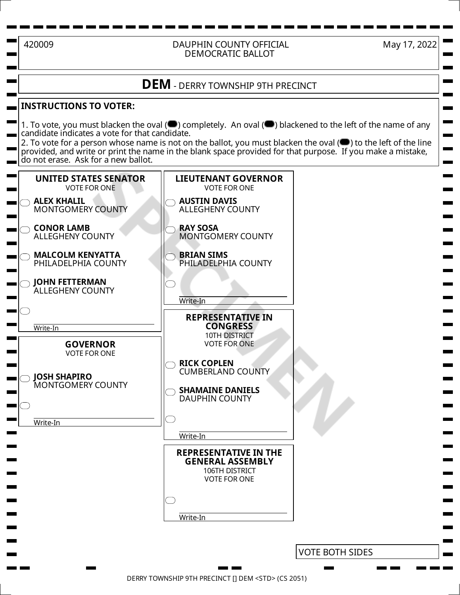## 420009 DAUPHIN COUNTY OFFICIAL DEMOCRATIC BALLOT

May 17, 2022

## **DEM** - DERRY TOWNSHIP 9TH PRECINCT

## **INSTRUCTIONS TO VOTER:**

1. To vote, you must blacken the oval ( $\bigcirc$ ) completely. An oval ( $\bigcirc$ ) blackened to the left of the name of any candidate indicates a vote for that candidate.

2. To vote for a person whose name is not on the ballot, you must blacken the oval  $($ **)** to the left of the line provided, and write or print the name in the blank space provided for that purpose. If you make a mistake, do not erase. Ask for a new ballot.



VOTE BOTH SIDES